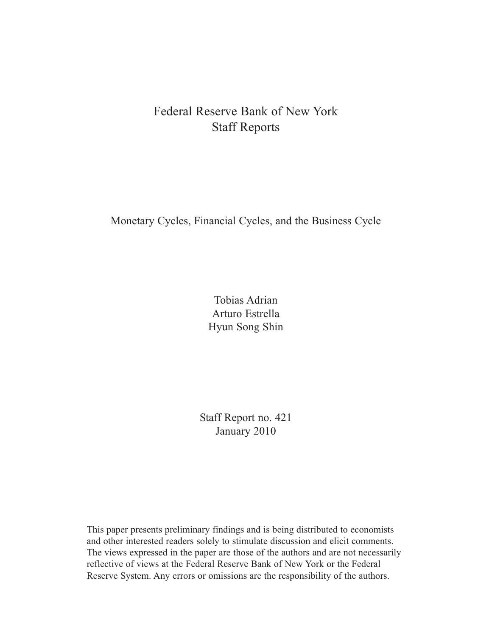# Federal Reserve Bank of New York Staff Reports

Monetary Cycles, Financial Cycles, and the Business Cycle

Tobias Adrian Arturo Estrella Hyun Song Shin

Staff Report no. 421 January 2010

This paper presents preliminary findings and is being distributed to economists and other interested readers solely to stimulate discussion and elicit comments. The views expressed in the paper are those of the authors and are not necessarily reflective of views at the Federal Reserve Bank of New York or the Federal Reserve System. Any errors or omissions are the responsibility of the authors.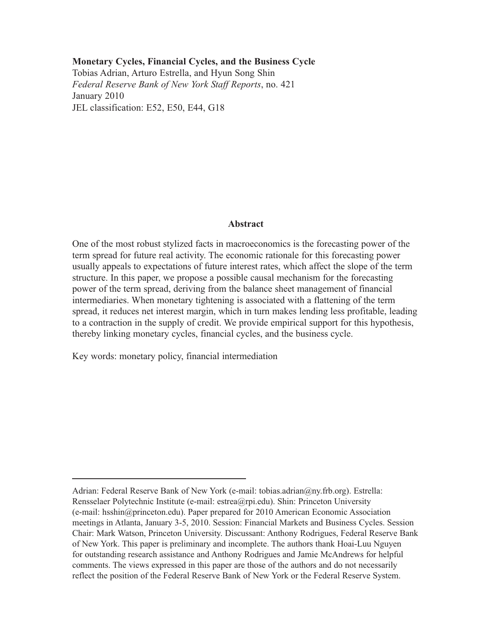#### **Monetary Cycles, Financial Cycles, and the Business Cycle**

Tobias Adrian, Arturo Estrella, and Hyun Song Shin *Federal Reserve Bank of New York Staff Reports*, no. 421 January 2010 JEL classification: E52, E50, E44, G18

#### **Abstract**

One of the most robust stylized facts in macroeconomics is the forecasting power of the term spread for future real activity. The economic rationale for this forecasting power usually appeals to expectations of future interest rates, which affect the slope of the term structure. In this paper, we propose a possible causal mechanism for the forecasting power of the term spread, deriving from the balance sheet management of financial intermediaries. When monetary tightening is associated with a flattening of the term spread, it reduces net interest margin, which in turn makes lending less profitable, leading to a contraction in the supply of credit. We provide empirical support for this hypothesis, thereby linking monetary cycles, financial cycles, and the business cycle.

Key words: monetary policy, financial intermediation

Adrian: Federal Reserve Bank of New York (e-mail: tobias.adrian@ny.frb.org). Estrella: Rensselaer Polytechnic Institute (e-mail: estrea@rpi.edu). Shin: Princeton University (e-mail: hsshin@princeton.edu). Paper prepared for 2010 American Economic Association meetings in Atlanta, January 3-5, 2010. Session: Financial Markets and Business Cycles. Session Chair: Mark Watson, Princeton University. Discussant: Anthony Rodrigues, Federal Reserve Bank of New York. This paper is preliminary and incomplete. The authors thank Hoai-Luu Nguyen for outstanding research assistance and Anthony Rodrigues and Jamie McAndrews for helpful comments. The views expressed in this paper are those of the authors and do not necessarily reflect the position of the Federal Reserve Bank of New York or the Federal Reserve System.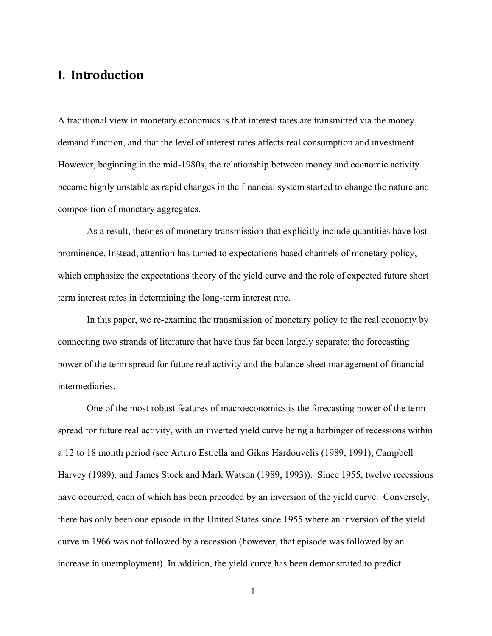## **I. Introduction**

A traditional view in monetary economics is that interest rates are transmitted via the money demand function, and that the level of interest rates affects real consumption and investment. However, beginning in the mid-1980s, the relationship between money and economic activity became highly unstable as rapid changes in the financial system started to change the nature and composition of monetary aggregates.

As a result, theories of monetary transmission that explicitly include quantities have lost prominence. Instead, attention has turned to expectations-based channels of monetary policy, which emphasize the expectations theory of the yield curve and the role of expected future short term interest rates in determining the long-term interest rate.

In this paper, we re-examine the transmission of monetary policy to the real economy by connecting two strands of literature that have thus far been largely separate: the forecasting power of the term spread for future real activity and the balance sheet management of financial intermediaries.

One of the most robust features of macroeconomics is the forecasting power of the term spread for future real activity, with an inverted yield curve being a harbinger of recessions within a 12 to 18 month period (see Arturo Estrella and Gikas Hardouvelis (1989, 1991), Campbell Harvey (1989), and James Stock and Mark Watson (1989, 1993)). Since 1955, twelve recessions have occurred, each of which has been preceded by an inversion of the yield curve. Conversely, there has only been one episode in the United States since 1955 where an inversion of the yield curve in 1966 was not followed by a recession (however, that episode was followed by an increase in unemployment). In addition, the yield curve has been demonstrated to predict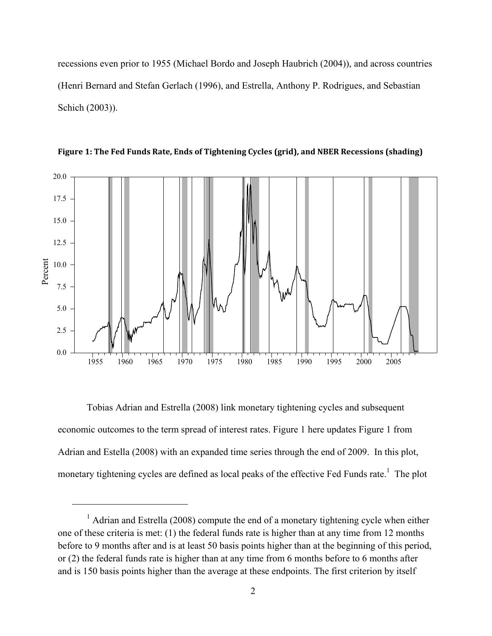recessions even prior to 1955 (Michael Bordo and Joseph Haubrich (2004)), and across countries (Henri Bernard and Stefan Gerlach (1996), and Estrella, Anthony P. Rodrigues, and Sebastian Schich (2003)).



**Figure 1: The Fed Funds Rate, Ends of Tightening Cycles (grid), and NBER Recessions (shading)** 

 Tobias Adrian and Estrella (2008) link monetary tightening cycles and subsequent economic outcomes to the term spread of interest rates. Figure 1 here updates Figure 1 from Adrian and Estella (2008) with an expanded time series through the end of 2009. In this plot, monetary tightening cycles are defined as local peaks of the effective Fed Funds rate.<sup>1</sup> The plot

 $\overline{a}$ 

 $1$  Adrian and Estrella (2008) compute the end of a monetary tightening cycle when either one of these criteria is met: (1) the federal funds rate is higher than at any time from 12 months before to 9 months after and is at least 50 basis points higher than at the beginning of this period, or (2) the federal funds rate is higher than at any time from 6 months before to 6 months after and is 150 basis points higher than the average at these endpoints. The first criterion by itself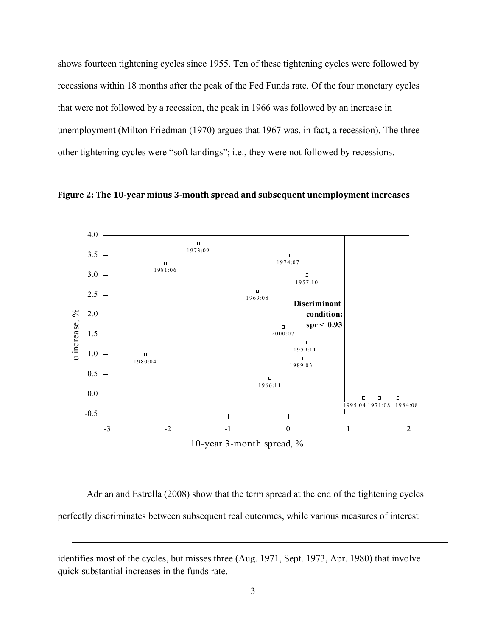shows fourteen tightening cycles since 1955. Ten of these tightening cycles were followed by recessions within 18 months after the peak of the Fed Funds rate. Of the four monetary cycles that were not followed by a recession, the peak in 1966 was followed by an increase in unemployment (Milton Friedman (1970) argues that 1967 was, in fact, a recession). The three other tightening cycles were "soft landings"; i.e., they were not followed by recessions.

**Figure 2: The 10year minus 3month spread and subsequent unemployment increases**



Adrian and Estrella (2008) show that the term spread at the end of the tightening cycles perfectly discriminates between subsequent real outcomes, while various measures of interest

 $\overline{a}$ 

identifies most of the cycles, but misses three (Aug. 1971, Sept. 1973, Apr. 1980) that involve quick substantial increases in the funds rate.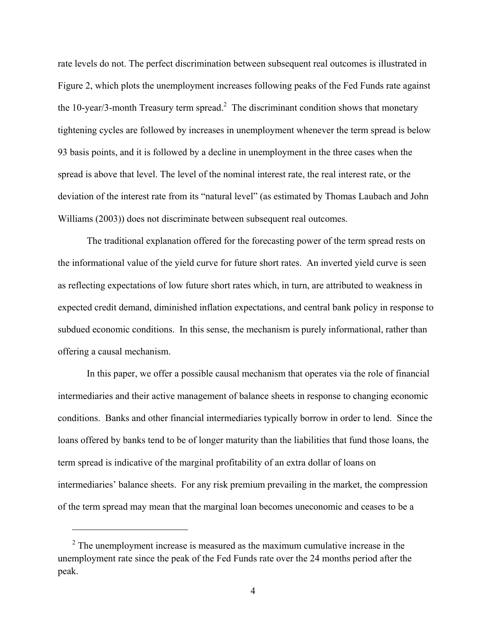rate levels do not. The perfect discrimination between subsequent real outcomes is illustrated in Figure 2, which plots the unemployment increases following peaks of the Fed Funds rate against the 10-year/3-month Treasury term spread.<sup>2</sup> The discriminant condition shows that monetary tightening cycles are followed by increases in unemployment whenever the term spread is below 93 basis points, and it is followed by a decline in unemployment in the three cases when the spread is above that level. The level of the nominal interest rate, the real interest rate, or the deviation of the interest rate from its "natural level" (as estimated by Thomas Laubach and John Williams (2003)) does not discriminate between subsequent real outcomes.

The traditional explanation offered for the forecasting power of the term spread rests on the informational value of the yield curve for future short rates. An inverted yield curve is seen as reflecting expectations of low future short rates which, in turn, are attributed to weakness in expected credit demand, diminished inflation expectations, and central bank policy in response to subdued economic conditions. In this sense, the mechanism is purely informational, rather than offering a causal mechanism.

In this paper, we offer a possible causal mechanism that operates via the role of financial intermediaries and their active management of balance sheets in response to changing economic conditions. Banks and other financial intermediaries typically borrow in order to lend. Since the loans offered by banks tend to be of longer maturity than the liabilities that fund those loans, the term spread is indicative of the marginal profitability of an extra dollar of loans on intermediaries' balance sheets. For any risk premium prevailing in the market, the compression of the term spread may mean that the marginal loan becomes uneconomic and ceases to be a

 $\overline{a}$ 

 $2<sup>2</sup>$  The unemployment increase is measured as the maximum cumulative increase in the unemployment rate since the peak of the Fed Funds rate over the 24 months period after the peak.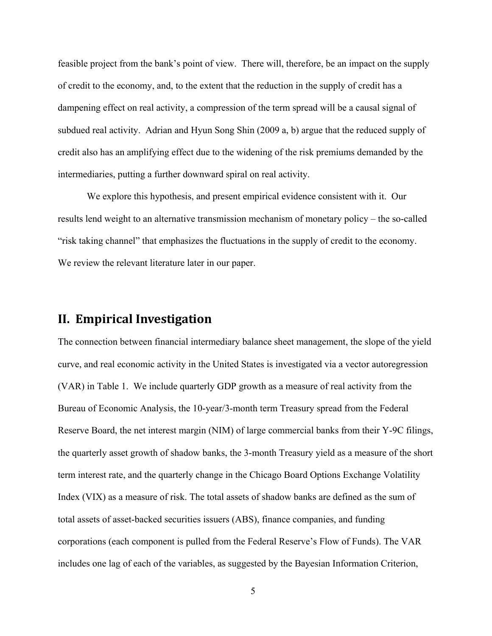feasible project from the bank's point of view. There will, therefore, be an impact on the supply of credit to the economy, and, to the extent that the reduction in the supply of credit has a dampening effect on real activity, a compression of the term spread will be a causal signal of subdued real activity. Adrian and Hyun Song Shin (2009 a, b) argue that the reduced supply of credit also has an amplifying effect due to the widening of the risk premiums demanded by the intermediaries, putting a further downward spiral on real activity.

We explore this hypothesis, and present empirical evidence consistent with it. Our results lend weight to an alternative transmission mechanism of monetary policy – the so-called "risk taking channel" that emphasizes the fluctuations in the supply of credit to the economy. We review the relevant literature later in our paper.

# **II. Empirical Investigation**

The connection between financial intermediary balance sheet management, the slope of the yield curve, and real economic activity in the United States is investigated via a vector autoregression (VAR) in Table 1. We include quarterly GDP growth as a measure of real activity from the Bureau of Economic Analysis, the 10-year/3-month term Treasury spread from the Federal Reserve Board, the net interest margin (NIM) of large commercial banks from their Y-9C filings, the quarterly asset growth of shadow banks, the 3-month Treasury yield as a measure of the short term interest rate, and the quarterly change in the Chicago Board Options Exchange Volatility Index (VIX) as a measure of risk. The total assets of shadow banks are defined as the sum of total assets of asset-backed securities issuers (ABS), finance companies, and funding corporations (each component is pulled from the Federal Reserve's Flow of Funds). The VAR includes one lag of each of the variables, as suggested by the Bayesian Information Criterion,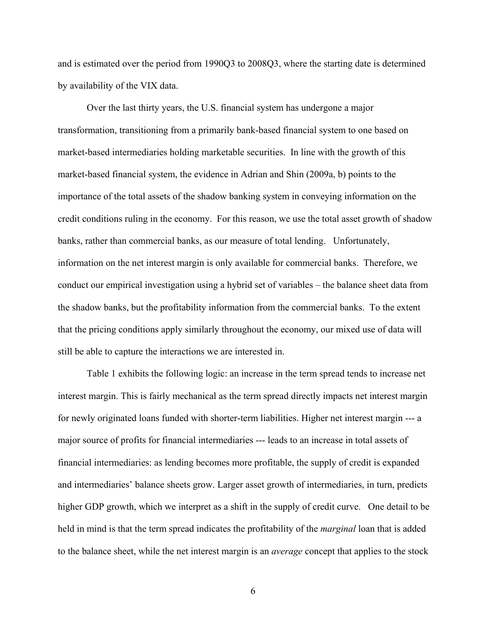and is estimated over the period from 1990Q3 to 2008Q3, where the starting date is determined by availability of the VIX data.

Over the last thirty years, the U.S. financial system has undergone a major transformation, transitioning from a primarily bank-based financial system to one based on market-based intermediaries holding marketable securities. In line with the growth of this market-based financial system, the evidence in Adrian and Shin (2009a, b) points to the importance of the total assets of the shadow banking system in conveying information on the credit conditions ruling in the economy. For this reason, we use the total asset growth of shadow banks, rather than commercial banks, as our measure of total lending. Unfortunately, information on the net interest margin is only available for commercial banks. Therefore, we conduct our empirical investigation using a hybrid set of variables – the balance sheet data from the shadow banks, but the profitability information from the commercial banks. To the extent that the pricing conditions apply similarly throughout the economy, our mixed use of data will still be able to capture the interactions we are interested in.

Table 1 exhibits the following logic: an increase in the term spread tends to increase net interest margin. This is fairly mechanical as the term spread directly impacts net interest margin for newly originated loans funded with shorter-term liabilities. Higher net interest margin --- a major source of profits for financial intermediaries --- leads to an increase in total assets of financial intermediaries: as lending becomes more profitable, the supply of credit is expanded and intermediaries' balance sheets grow. Larger asset growth of intermediaries, in turn, predicts higher GDP growth, which we interpret as a shift in the supply of credit curve. One detail to be held in mind is that the term spread indicates the profitability of the *marginal* loan that is added to the balance sheet, while the net interest margin is an *average* concept that applies to the stock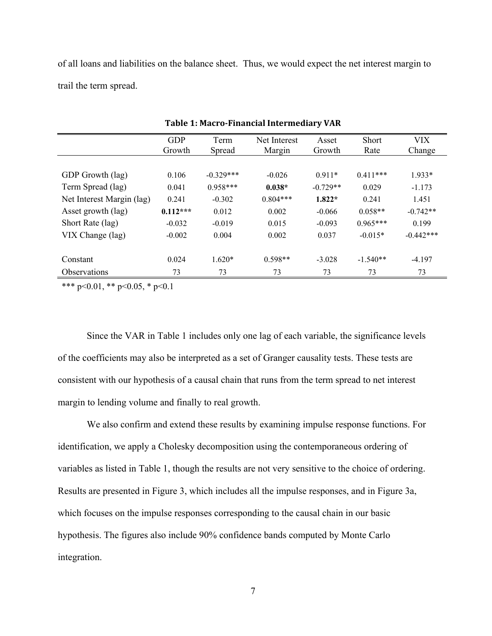of all loans and liabilities on the balance sheet. Thus, we would expect the net interest margin to trail the term spread.

|                           |            |             |              | ╯          |            |             |
|---------------------------|------------|-------------|--------------|------------|------------|-------------|
|                           | <b>GDP</b> | Term        | Net Interest | Asset      | Short      | <b>VIX</b>  |
|                           | Growth     | Spread      | Margin       | Growth     | Rate       | Change      |
|                           |            |             |              |            |            |             |
| GDP Growth (lag)          | 0.106      | $-0.329***$ | $-0.026$     | $0.911*$   | $0.411***$ | $1.933*$    |
| Term Spread (lag)         | 0.041      | $0.958***$  | $0.038*$     | $-0.729**$ | 0.029      | $-1.173$    |
| Net Interest Margin (lag) | 0.241      | $-0.302$    | $0.804***$   | $1.822*$   | 0.241      | 1.451       |
| Asset growth (lag)        | $0.112***$ | 0.012       | 0.002        | $-0.066$   | $0.058**$  | $-0.742**$  |
| Short Rate (lag)          | $-0.032$   | $-0.019$    | 0.015        | $-0.093$   | $0.965***$ | 0.199       |
| VIX Change (lag)          | $-0.002$   | 0.004       | 0.002        | 0.037      | $-0.015*$  | $-0.442***$ |
|                           |            |             |              |            |            |             |
| Constant                  | 0.024      | $1.620*$    | $0.598**$    | $-3.028$   | $-1.540**$ | $-4.197$    |
| <b>Observations</b>       | 73         | 73          | 73           | 73         | 73         | 73          |

**Table 1: MacroFinancial Intermediary VAR**

\*\*\* p<0.01, \*\* p<0.05, \* p<0.1

 Since the VAR in Table 1 includes only one lag of each variable, the significance levels of the coefficients may also be interpreted as a set of Granger causality tests. These tests are consistent with our hypothesis of a causal chain that runs from the term spread to net interest margin to lending volume and finally to real growth.

We also confirm and extend these results by examining impulse response functions. For identification, we apply a Cholesky decomposition using the contemporaneous ordering of variables as listed in Table 1, though the results are not very sensitive to the choice of ordering. Results are presented in Figure 3, which includes all the impulse responses, and in Figure 3a, which focuses on the impulse responses corresponding to the causal chain in our basic hypothesis. The figures also include 90% confidence bands computed by Monte Carlo integration.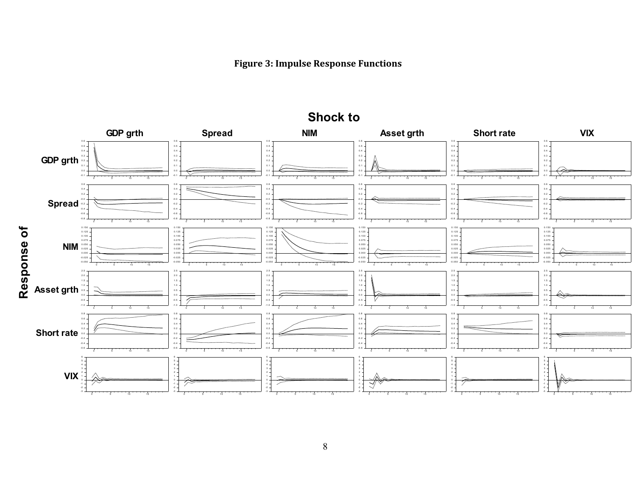

# **Shock to**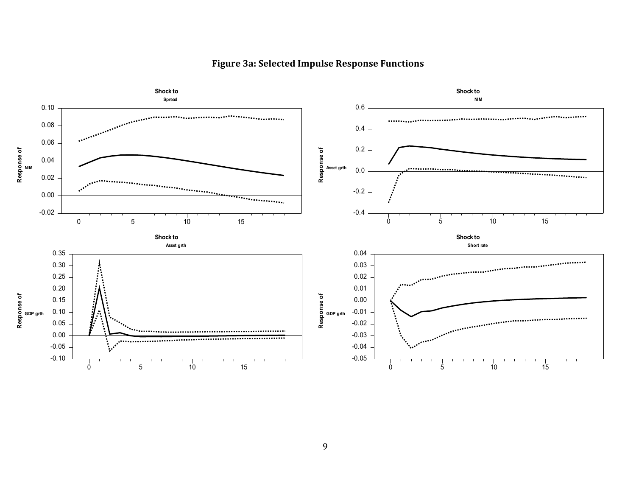

## **Figure 3a: Selected Impulse Response Functions**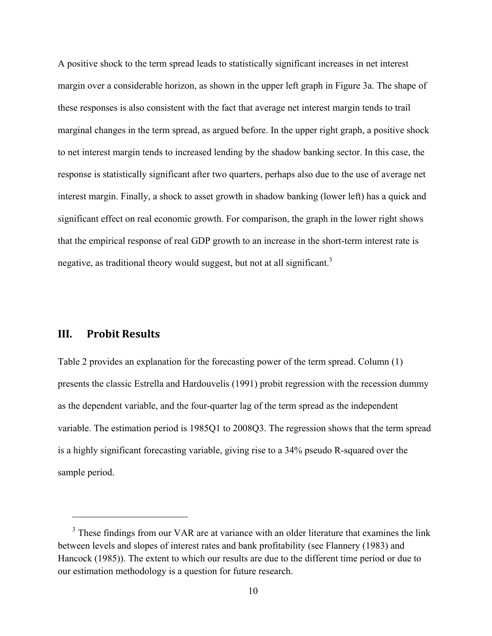A positive shock to the term spread leads to statistically significant increases in net interest margin over a considerable horizon, as shown in the upper left graph in Figure 3a. The shape of these responses is also consistent with the fact that average net interest margin tends to trail marginal changes in the term spread, as argued before. In the upper right graph, a positive shock to net interest margin tends to increased lending by the shadow banking sector. In this case, the response is statistically significant after two quarters, perhaps also due to the use of average net interest margin. Finally, a shock to asset growth in shadow banking (lower left) has a quick and significant effect on real economic growth. For comparison, the graph in the lower right shows that the empirical response of real GDP growth to an increase in the short-term interest rate is negative, as traditional theory would suggest, but not at all significant.<sup>3</sup>

#### **III. Probit Results**

 $\overline{a}$ 

Table 2 provides an explanation for the forecasting power of the term spread. Column (1) presents the classic Estrella and Hardouvelis (1991) probit regression with the recession dummy as the dependent variable, and the four-quarter lag of the term spread as the independent variable. The estimation period is 1985Q1 to 2008Q3. The regression shows that the term spread is a highly significant forecasting variable, giving rise to a 34% pseudo R-squared over the sample period.

<sup>&</sup>lt;sup>3</sup> These findings from our VAR are at variance with an older literature that examines the link between levels and slopes of interest rates and bank profitability (see Flannery (1983) and Hancock (1985)). The extent to which our results are due to the different time period or due to our estimation methodology is a question for future research.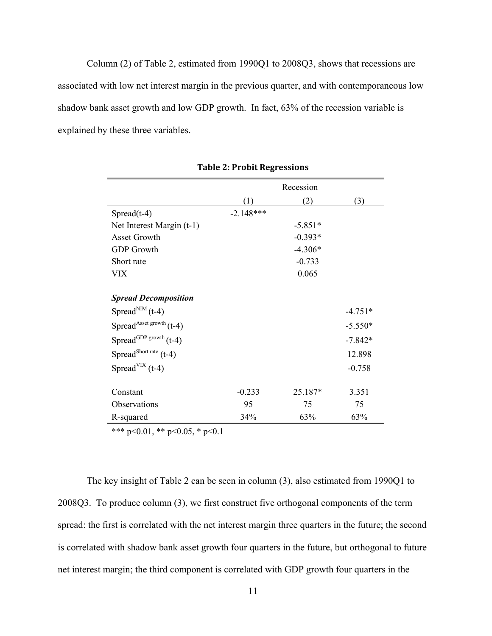Column (2) of Table 2, estimated from 1990Q1 to 2008Q3, shows that recessions are associated with low net interest margin in the previous quarter, and with contemporaneous low shadow bank asset growth and low GDP growth. In fact, 63% of the recession variable is explained by these three variables.

|                                        | Recession   |           |           |  |
|----------------------------------------|-------------|-----------|-----------|--|
|                                        | (1)         | (2)       | (3)       |  |
| Spread $(t-4)$                         | $-2.148***$ |           |           |  |
| Net Interest Margin (t-1)              |             | $-5.851*$ |           |  |
| Asset Growth                           |             | $-0.393*$ |           |  |
| <b>GDP</b> Growth                      |             | $-4.306*$ |           |  |
| Short rate                             |             | $-0.733$  |           |  |
| VIX                                    |             | 0.065     |           |  |
|                                        |             |           |           |  |
| <b>Spread Decomposition</b>            |             |           |           |  |
| Spread <sup>NIM</sup> (t-4)            |             |           | $-4.751*$ |  |
| Spread <sup>Asset growth</sup> $(t-4)$ |             |           | $-5.550*$ |  |
| Spread <sup>GDP</sup> growth $(t-4)$   |             |           | $-7.842*$ |  |
| Spread <sup>Short rate</sup> (t-4)     |             |           | 12.898    |  |
| Spread <sup>VIX</sup> (t-4)            |             |           | $-0.758$  |  |
|                                        |             |           |           |  |
| Constant                               | $-0.233$    | 25.187*   | 3.351     |  |
| Observations                           | 95          | 75        | 75        |  |
| R-squared                              | 34%         | 63%       | 63%       |  |

**Table 2: Probit Regressions**

\*\*\* p<0.01, \*\* p<0.05, \* p<0.1

The key insight of Table 2 can be seen in column (3), also estimated from 1990Q1 to 2008Q3. To produce column (3), we first construct five orthogonal components of the term spread: the first is correlated with the net interest margin three quarters in the future; the second is correlated with shadow bank asset growth four quarters in the future, but orthogonal to future net interest margin; the third component is correlated with GDP growth four quarters in the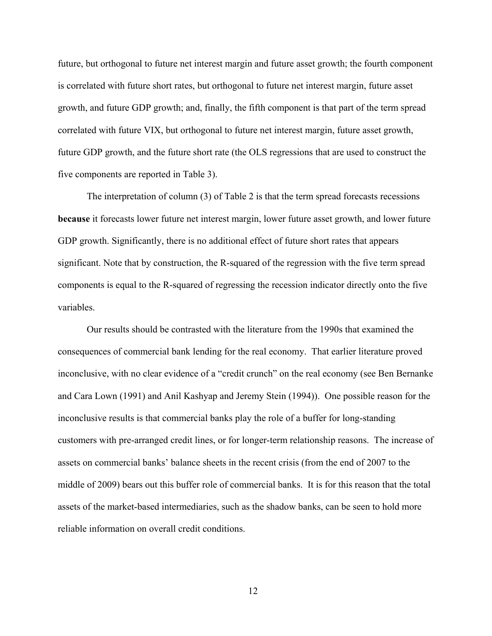future, but orthogonal to future net interest margin and future asset growth; the fourth component is correlated with future short rates, but orthogonal to future net interest margin, future asset growth, and future GDP growth; and, finally, the fifth component is that part of the term spread correlated with future VIX, but orthogonal to future net interest margin, future asset growth, future GDP growth, and the future short rate (the OLS regressions that are used to construct the five components are reported in Table 3).

The interpretation of column (3) of Table 2 is that the term spread forecasts recessions **because** it forecasts lower future net interest margin, lower future asset growth, and lower future GDP growth. Significantly, there is no additional effect of future short rates that appears significant. Note that by construction, the R-squared of the regression with the five term spread components is equal to the R-squared of regressing the recession indicator directly onto the five variables.

Our results should be contrasted with the literature from the 1990s that examined the consequences of commercial bank lending for the real economy. That earlier literature proved inconclusive, with no clear evidence of a "credit crunch" on the real economy (see Ben Bernanke and Cara Lown (1991) and Anil Kashyap and Jeremy Stein (1994)). One possible reason for the inconclusive results is that commercial banks play the role of a buffer for long-standing customers with pre-arranged credit lines, or for longer-term relationship reasons. The increase of assets on commercial banks' balance sheets in the recent crisis (from the end of 2007 to the middle of 2009) bears out this buffer role of commercial banks. It is for this reason that the total assets of the market-based intermediaries, such as the shadow banks, can be seen to hold more reliable information on overall credit conditions.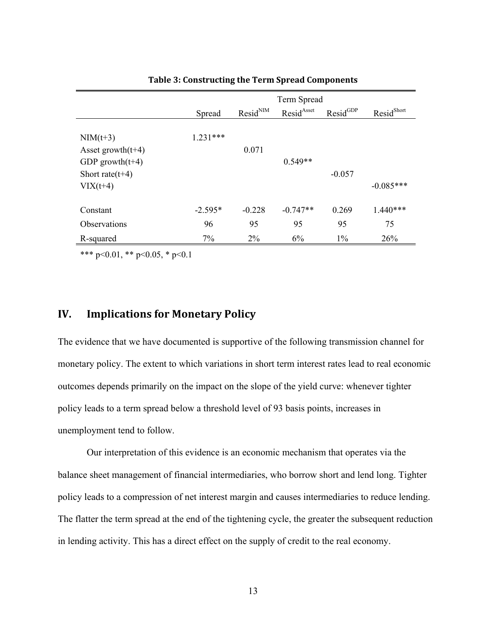|                      | Term Spread |                      |                        |                      |                        |  |
|----------------------|-------------|----------------------|------------------------|----------------------|------------------------|--|
|                      | Spread      | Resid <sup>NIM</sup> | Resid <sup>Asset</sup> | Resid <sup>GDP</sup> | Resid <sup>Short</sup> |  |
| $NIM(t+3)$           | $1.231***$  |                      |                        |                      |                        |  |
| Asset growth $(t+4)$ |             | 0.071                |                        |                      |                        |  |
| GDP growth $(t+4)$   |             |                      | $0.549**$              |                      |                        |  |
| Short rate $(+4)$    |             |                      |                        | $-0.057$             |                        |  |
| $VIX(t+4)$           |             |                      |                        |                      | $-0.085***$            |  |
|                      |             |                      |                        |                      |                        |  |
| Constant             | $-2.595*$   | $-0.228$             | $-0.747**$             | 0.269                | $1.440***$             |  |
| Observations         | 96          | 95                   | 95                     | 95                   | 75                     |  |
| R-squared            | 7%          | 2%                   | 6%                     | $1\%$                | 26%                    |  |

#### **Table 3: Constructing the Term Spread Components**

\*\*\* p<0.01, \*\* p<0.05, \* p<0.1

### **IV. Implications for Monetary Policy**

The evidence that we have documented is supportive of the following transmission channel for monetary policy. The extent to which variations in short term interest rates lead to real economic outcomes depends primarily on the impact on the slope of the yield curve: whenever tighter policy leads to a term spread below a threshold level of 93 basis points, increases in unemployment tend to follow.

Our interpretation of this evidence is an economic mechanism that operates via the balance sheet management of financial intermediaries, who borrow short and lend long. Tighter policy leads to a compression of net interest margin and causes intermediaries to reduce lending. The flatter the term spread at the end of the tightening cycle, the greater the subsequent reduction in lending activity. This has a direct effect on the supply of credit to the real economy.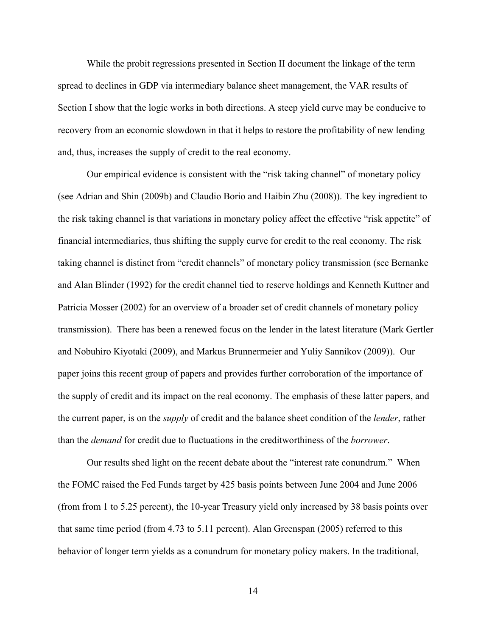While the probit regressions presented in Section II document the linkage of the term spread to declines in GDP via intermediary balance sheet management, the VAR results of Section I show that the logic works in both directions. A steep yield curve may be conducive to recovery from an economic slowdown in that it helps to restore the profitability of new lending and, thus, increases the supply of credit to the real economy.

Our empirical evidence is consistent with the "risk taking channel" of monetary policy (see Adrian and Shin (2009b) and Claudio Borio and Haibin Zhu (2008)). The key ingredient to the risk taking channel is that variations in monetary policy affect the effective "risk appetite" of financial intermediaries, thus shifting the supply curve for credit to the real economy. The risk taking channel is distinct from "credit channels" of monetary policy transmission (see Bernanke and Alan Blinder (1992) for the credit channel tied to reserve holdings and Kenneth Kuttner and Patricia Mosser (2002) for an overview of a broader set of credit channels of monetary policy transmission). There has been a renewed focus on the lender in the latest literature (Mark Gertler and Nobuhiro Kiyotaki (2009), and Markus Brunnermeier and Yuliy Sannikov (2009)). Our paper joins this recent group of papers and provides further corroboration of the importance of the supply of credit and its impact on the real economy. The emphasis of these latter papers, and the current paper, is on the *supply* of credit and the balance sheet condition of the *lender*, rather than the *demand* for credit due to fluctuations in the creditworthiness of the *borrower*.

Our results shed light on the recent debate about the "interest rate conundrum." When the FOMC raised the Fed Funds target by 425 basis points between June 2004 and June 2006 (from from 1 to 5.25 percent), the 10-year Treasury yield only increased by 38 basis points over that same time period (from 4.73 to 5.11 percent). Alan Greenspan (2005) referred to this behavior of longer term yields as a conundrum for monetary policy makers. In the traditional,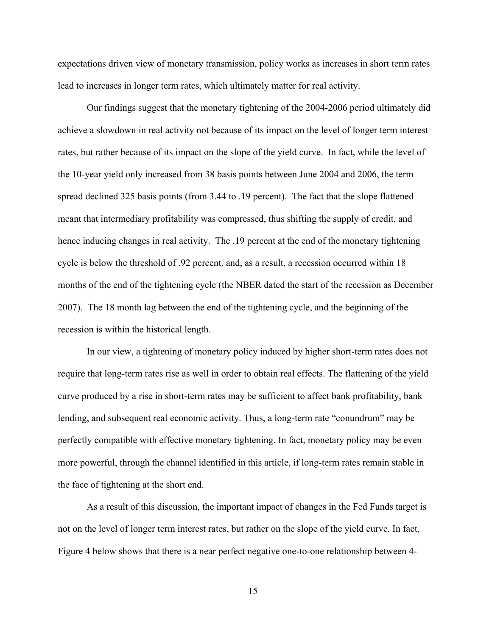expectations driven view of monetary transmission, policy works as increases in short term rates lead to increases in longer term rates, which ultimately matter for real activity.

Our findings suggest that the monetary tightening of the 2004-2006 period ultimately did achieve a slowdown in real activity not because of its impact on the level of longer term interest rates, but rather because of its impact on the slope of the yield curve. In fact, while the level of the 10-year yield only increased from 38 basis points between June 2004 and 2006, the term spread declined 325 basis points (from 3.44 to .19 percent). The fact that the slope flattened meant that intermediary profitability was compressed, thus shifting the supply of credit, and hence inducing changes in real activity. The .19 percent at the end of the monetary tightening cycle is below the threshold of .92 percent, and, as a result, a recession occurred within 18 months of the end of the tightening cycle (the NBER dated the start of the recession as December 2007). The 18 month lag between the end of the tightening cycle, and the beginning of the recession is within the historical length.

 In our view, a tightening of monetary policy induced by higher short-term rates does not require that long-term rates rise as well in order to obtain real effects. The flattening of the yield curve produced by a rise in short-term rates may be sufficient to affect bank profitability, bank lending, and subsequent real economic activity. Thus, a long-term rate "conundrum" may be perfectly compatible with effective monetary tightening. In fact, monetary policy may be even more powerful, through the channel identified in this article, if long-term rates remain stable in the face of tightening at the short end.

As a result of this discussion, the important impact of changes in the Fed Funds target is not on the level of longer term interest rates, but rather on the slope of the yield curve. In fact, Figure 4 below shows that there is a near perfect negative one-to-one relationship between 4-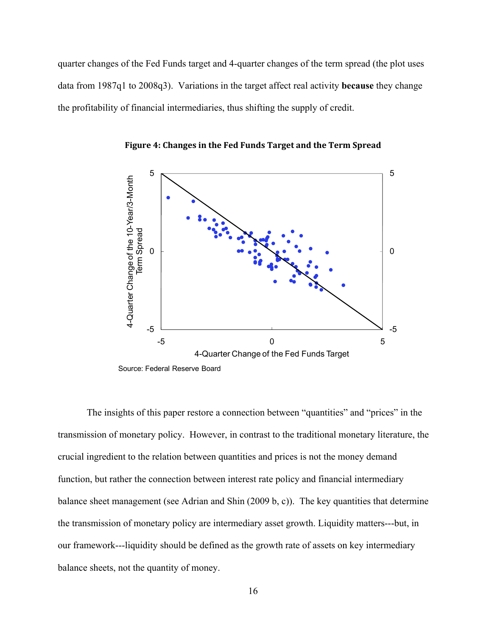quarter changes of the Fed Funds target and 4-quarter changes of the term spread (the plot uses data from 1987q1 to 2008q3). Variations in the target affect real activity **because** they change the profitability of financial intermediaries, thus shifting the supply of credit.



**Figure 4: Changes in the Fed Funds Target and the Term Spread**

The insights of this paper restore a connection between "quantities" and "prices" in the transmission of monetary policy. However, in contrast to the traditional monetary literature, the crucial ingredient to the relation between quantities and prices is not the money demand function, but rather the connection between interest rate policy and financial intermediary balance sheet management (see Adrian and Shin (2009 b, c)). The key quantities that determine the transmission of monetary policy are intermediary asset growth. Liquidity matters---but, in our framework---liquidity should be defined as the growth rate of assets on key intermediary balance sheets, not the quantity of money.

Source: Federal Reserve Board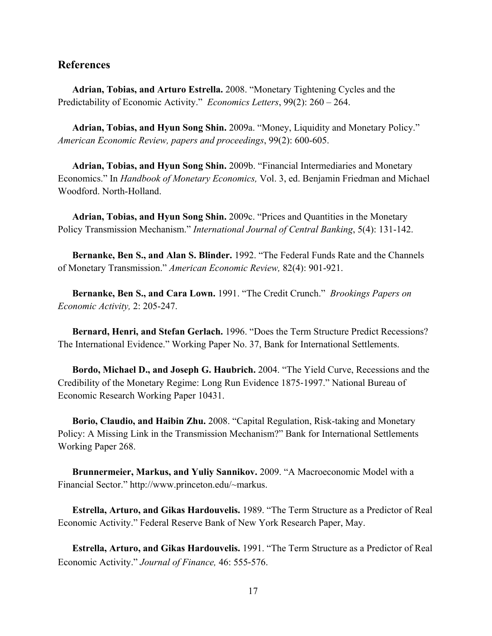### **References**

**Adrian, Tobias, and Arturo Estrella.** 2008. "Monetary Tightening Cycles and the Predictability of Economic Activity." *Economics Letters*, 99(2): 260 – 264.

**Adrian, Tobias, and Hyun Song Shin.** 2009a. "Money, Liquidity and Monetary Policy." *American Economic Review, papers and proceedings*, 99(2): 600-605.

**Adrian, Tobias, and Hyun Song Shin.** 2009b. "Financial Intermediaries and Monetary Economics." In *Handbook of Monetary Economics,* Vol. 3, ed. Benjamin Friedman and Michael Woodford. North-Holland.

**Adrian, Tobias, and Hyun Song Shin.** 2009c. "Prices and Quantities in the Monetary Policy Transmission Mechanism." *International Journal of Central Banking*, 5(4): 131-142.

**Bernanke, Ben S., and Alan S. Blinder.** 1992. "The Federal Funds Rate and the Channels of Monetary Transmission." *American Economic Review,* 82(4): 901-921.

**Bernanke, Ben S., and Cara Lown.** 1991. "The Credit Crunch." *Brookings Papers on Economic Activity,* 2: 205-247.

**Bernard, Henri, and Stefan Gerlach.** 1996. "Does the Term Structure Predict Recessions? The International Evidence." Working Paper No. 37, Bank for International Settlements.

**Bordo, Michael D., and Joseph G. Haubrich.** 2004. "The Yield Curve, Recessions and the Credibility of the Monetary Regime: Long Run Evidence 1875‐1997." National Bureau of Economic Research Working Paper 10431.

**Borio, Claudio, and Haibin Zhu.** 2008. "Capital Regulation, Risk-taking and Monetary Policy: A Missing Link in the Transmission Mechanism?" Bank for International Settlements Working Paper 268.

**Brunnermeier, Markus, and Yuliy Sannikov.** 2009. "A Macroeconomic Model with a Financial Sector." http://www.princeton.edu/~markus.

**Estrella, Arturo, and Gikas Hardouvelis.** 1989. "The Term Structure as a Predictor of Real Economic Activity." Federal Reserve Bank of New York Research Paper, May.

**Estrella, Arturo, and Gikas Hardouvelis.** 1991. "The Term Structure as a Predictor of Real Economic Activity." *Journal of Finance,* 46: 555‐576.